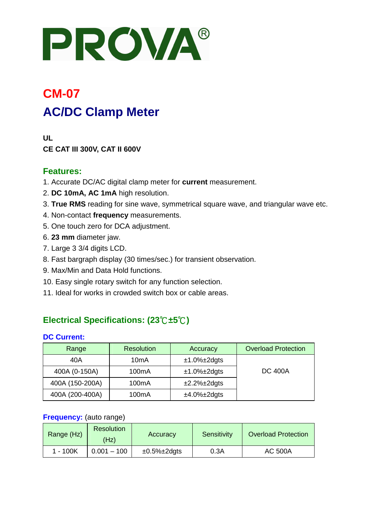# PROVA®

# **CM-07 AC/DC Clamp Meter**

**UL CE CAT III 300V, CAT II 600V** 

#### **Features:**

- 1. Accurate DC/AC digital clamp meter for **current** measurement.
- 2. **DC 10mA, AC 1mA** high resolution.
- 3. **True RMS** reading for sine wave, symmetrical square wave, and triangular wave etc.
- 4. Non-contact **frequency** measurements.
- 5. One touch zero for DCA adjustment.
- 6. **23 mm** diameter jaw.
- 7. Large 3 3/4 digits LCD.
- 8. Fast bargraph display (30 times/sec.) for transient observation.
- 9. Max/Min and Data Hold functions.
- 10. Easy single rotary switch for any function selection.
- 11. Ideal for works in crowded switch box or cable areas.

## **Electrical Specifications: (23**℃**±5**℃**)**

#### **DC Current:**

| Range           | <b>Resolution</b>  | Accuracy               | <b>Overload Protection</b> |
|-----------------|--------------------|------------------------|----------------------------|
| 40A             | 10 <sub>m</sub> A  | $±1.0\%±2$ dgts        |                            |
| 400A (0-150A)   | 100 <sub>m</sub> A | $±1.0\%±2$ dgts        | <b>DC 400A</b>             |
| 400A (150-200A) | 100 <sub>m</sub> A | $\pm 2.2\% \pm 2$ dgts |                            |
| 400A (200-400A) | 100 <sub>m</sub> A | $±4.0\%±2$ dgts        |                            |

#### **Frequency:** (auto range)

| Range (Hz) | <b>Resolution</b><br>(Hz) | Accuracy               | Sensitivity | <b>Overload Protection</b> |
|------------|---------------------------|------------------------|-------------|----------------------------|
| 1 - 100K   | $0.001 - 100$             | $\pm 0.5\% \pm 2$ dgts | 0.3A        | <b>AC 500A</b>             |